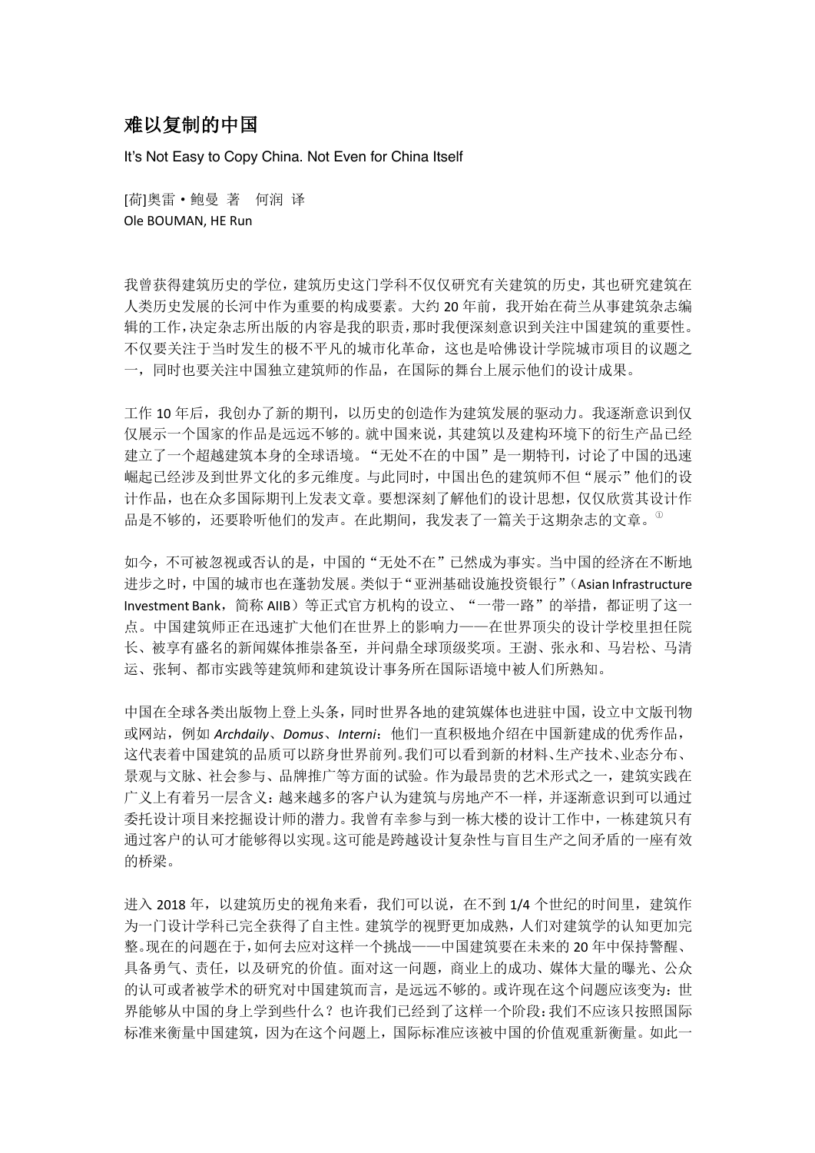## 难以复制的中国

It's Not Easy to Copy China. Not Even for China Itself

[荷]奥雷·鲍曼 著 何润 译 Ole BOUMAN, HE Run

我曾获得建筑历史的学位,建筑历史这门学科不仅仅研究有关建筑的历史,其也研究建筑在 人类历史发展的长河中作为重要的构成要素。大约 20 年前,我开始在荷兰从事建筑杂志编 辑的工作,决定杂志所出版的内容是我的职责,那时我便深刻意识到关注中国建筑的重要性。 不仅要关注于当时发生的极不平凡的城市化革命,这也是哈佛设计学院城市项目的议题之 一,同时也要关注中国独立建筑师的作品,在国际的舞台上展示他们的设计成果。

工作 10 年后,我创办了新的期刊,以历史的创造作为建筑发展的驱动力。我逐渐意识到仅 仅展示一个国家的作品是远远不够的。就中国来说,其建筑以及建构环境下的衍生产品已经 建立了一个超越建筑本身的全球语境。"无处不在的中国"是一期特刊,讨论了中国的迅速 崛起已经涉及到世界文化的多元维度。与此同时,中国出色的建筑师不但"展示"他们的设 计作品,也在众多国际期刊上发表文章。要想深刻了解他们的设计思想,仅仅欣赏其设计作 品是不够的,还要聆听他们的发声。在此期间,我发表了一篇关于这期杂志的文章。<sup>®</sup>

如今,不可被忽视或否认的是,中国的"无处不在"已然成为事实。当中国的经济在不断地 进步之时,中国的城市也在蓬勃发展。类似于"亚洲基础设施投资银行"(Asian Infrastructure Investment Bank, 简称 AIIB)等正式官方机构的设立、"一带一路"的举措, 都证明了这一 点。中国建筑师正在迅速扩大他们在世界上的影响力——在世界顶尖的设计学校里担任院 长、被享有盛名的新闻媒体推崇备至,并问鼎全球顶级奖项。王澍、张永和、马岩松、马清 运、张轲、都市实践等建筑师和建筑设计事务所在国际语境中被人们所熟知。

中国在全球各类出版物上登上头条,同时世界各地的建筑媒体也进驻中国,设立中文版刊物 或网站,例如 *Archdaily*、*Domus*、*Interni*:他们一直积极地介绍在中国新建成的优秀作品, 这代表着中国建筑的品质可以跻身世界前列。我们可以看到新的材料、生产技术、业态分布、 景观与文脉、社会参与、品牌推广等方面的试验。作为最昂贵的艺术形式之一,建筑实践在 广义上有着另一层含义:越来越多的客户认为建筑与房地产不一样,并逐渐意识到可以通过 委托设计项目来挖掘设计师的潜力。我曾有幸参与到一栋大楼的设计工作中,一栋建筑只有 通过客户的认可才能够得以实现。这可能是跨越设计复杂性与盲目生产之间矛盾的一座有效 的桥梁。

进入 2018 年, 以建筑历史的视角来看,我们可以说, 在不到 1/4 个世纪的时间里, 建筑作 为一门设计学科已完全获得了自主性。建筑学的视野更加成熟,人们对建筑学的认知更加完 整。现在的问题在于,如何去应对这样一个挑战——中国建筑要在未来的 20 年中保持警醒、 具备勇气、责任,以及研究的价值。面对这一问题,商业上的成功、媒体大量的曝光、公众 的认可或者被学术的研究对中国建筑而言,是远远不够的。或许现在这个问题应该变为:世 界能够从中国的身上学到些什么?也许我们已经到了这样一个阶段:我们不应该只按照国际 标准来衡量中国建筑,因为在这个问题上,国际标准应该被中国的价值观重新衡量。如此一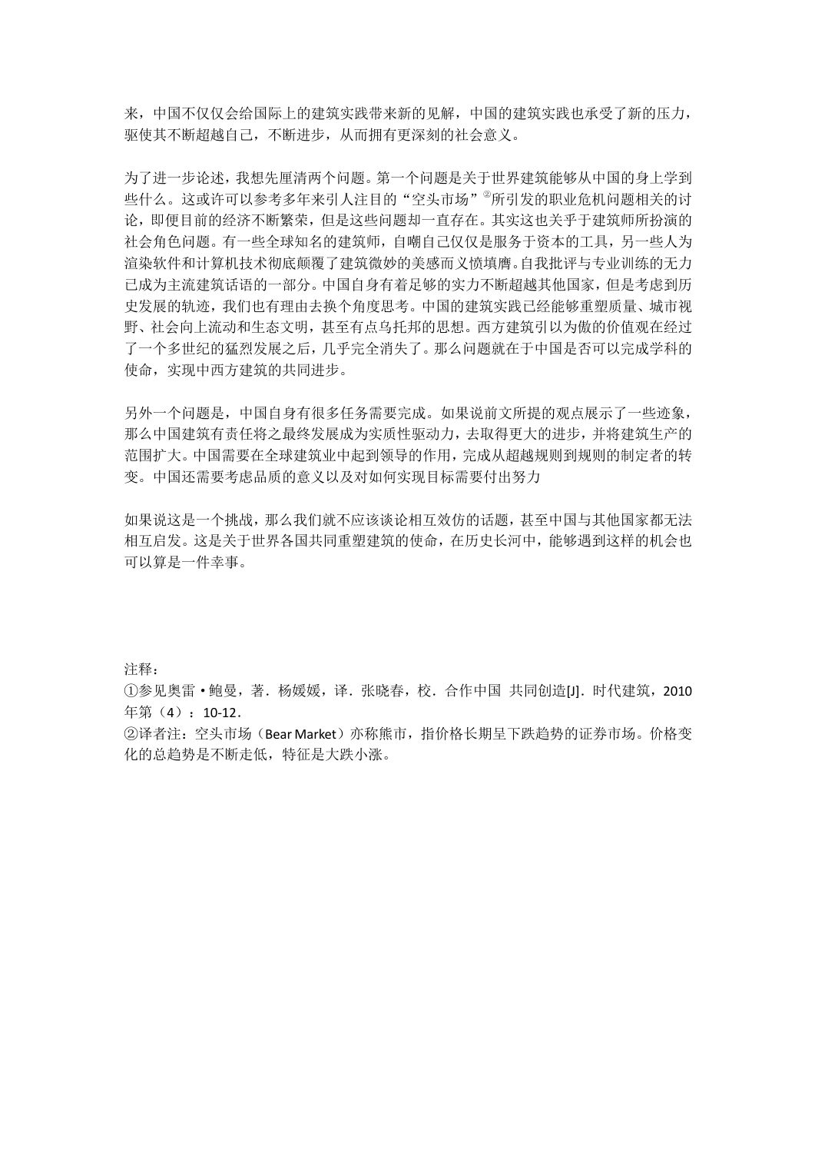来,中国不仅仅会给国际上的建筑实践带来新的见解,中国的建筑实践也承受了新的压力, 驱使其不断超越自己,不断进步,从而拥有更深刻的社会意义。

为了进一步论述,我想先厘清两个问题。第一个问题是关于世界建筑能够从中国的身上学到 些什么。这或许可以参考多年来引人注目的"空头市场"<sup>@</sup>所引发的职业危机问题相关的讨 论,即便目前的经济不断繁荣,但是这些问题却一直存在。其实这也关乎于建筑师所扮演的 社会角色问题。有一些全球知名的建筑师,自嘲自己仅仅是服务于资本的工具,另一些人为 渲染软件和计算机技术彻底颠覆了建筑微妙的美感而义愤填膺。自我批评与专业训练的无力 已成为主流建筑话语的一部分。中国自身有着足够的实力不断超越其他国家,但是考虑到历 史发展的轨迹,我们也有理由去换个角度思考。中国的建筑实践已经能够重塑质量、城市视 野、社会向上流动和生态文明,甚至有点乌托邦的思想。西方建筑引以为傲的价值观在经过 了一个多世纪的猛烈发展之后,几乎完全消失了。那么问题就在于中国是否可以完成学科的 使命,实现中西方建筑的共同进步。

另外一个问题是,中国自身有很多任务需要完成。如果说前文所提的观点展示了一些迹象, 那么中国建筑有责任将之最终发展成为实质性驱动力,去取得更大的进步,并将建筑生产的 范围扩大。中国需要在全球建筑业中起到领导的作用,完成从超越规则到规则的制定者的转 变。中国还需要考虑品质的意义以及对如何实现目标需要付出努力

如果说这是一个挑战,那么我们就不应该谈论相互效仿的话题,甚至中国与其他国家都无法 相互启发。这是关于世界各国共同重塑建筑的使命,在历史长河中,能够遇到这样的机会也 可以算是一件幸事。

注释:

①参见奥雷·鲍曼,著.杨媛媛,译.张晓春,校.合作中国 共同创造[J].时代建筑,2010 年第(4):10-12.

②译者注:空头市场(Bear Market)亦称熊市,指价格长期呈下跌趋势的证券市场。价格变 化的总趋势是不断走低,特征是大跌小涨。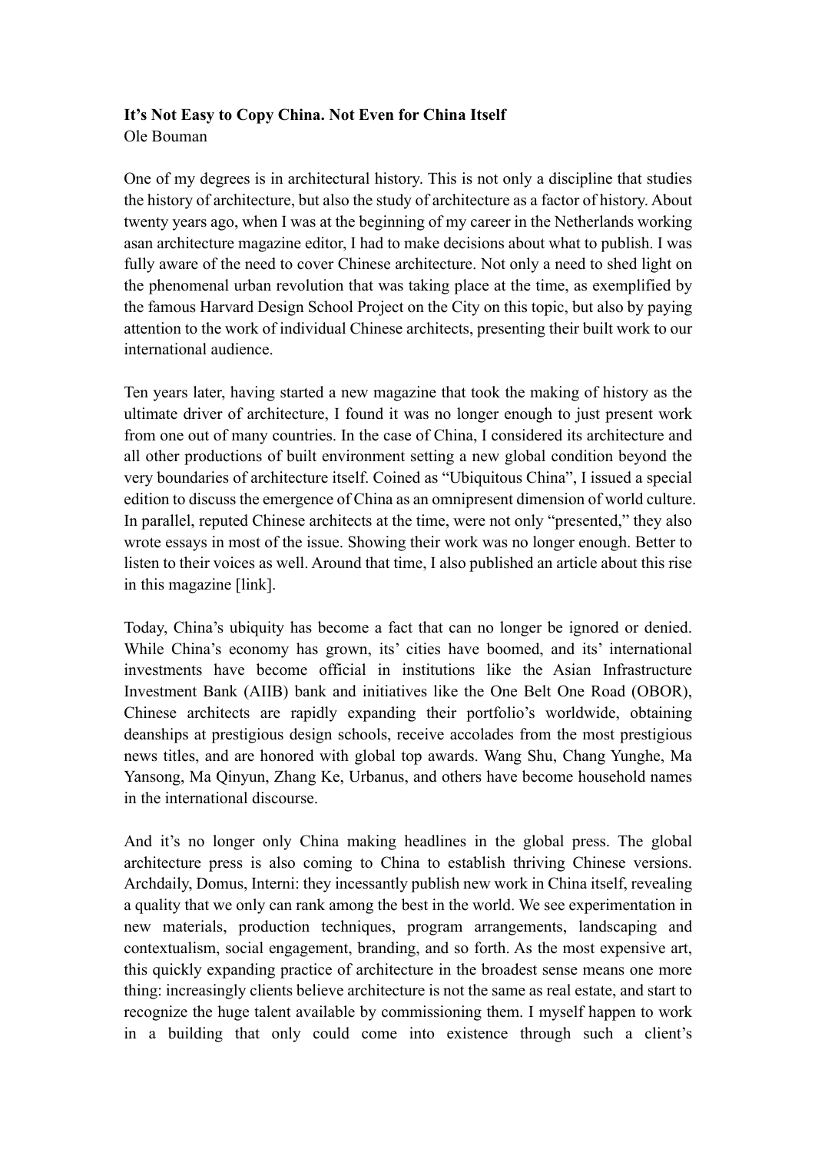## **It's Not Easy to Copy China. Not Even for China Itself**

Ole Bouman

One of my degrees is in architectural history. This is not only a discipline that studies the history of architecture, but also the study of architecture as a factor of history. About twenty years ago, when I was at the beginning of my career in the Netherlands working asan architecture magazine editor, I had to make decisions about what to publish. I was fully aware of the need to cover Chinese architecture. Not only a need to shed light on the phenomenal urban revolution that was taking place at the time, as exemplified by the famous Harvard Design School Project on the City on this topic, but also by paying attention to the work of individual Chinese architects, presenting their built work to our international audience.

Ten years later, having started a new magazine that took the making of history as the ultimate driver of architecture, I found it was no longer enough to just present work from one out of many countries. In the case of China, I considered its architecture and all other productions of built environment setting a new global condition beyond the very boundaries of architecture itself. Coined as "Ubiquitous China", I issued a special edition to discuss the emergence of China as an omnipresent dimension of world culture. In parallel, reputed Chinese architects at the time, were not only "presented," they also wrote essays in most of the issue. Showing their work was no longer enough. Better to listen to their voices as well. Around that time, I also published an article about this rise in this magazine [link].

Today, China's ubiquity has become a fact that can no longer be ignored or denied. While China's economy has grown, its' cities have boomed, and its' international investments have become official in institutions like the Asian Infrastructure Investment Bank (AIIB) bank and initiatives like the One Belt One Road (OBOR), Chinese architects are rapidly expanding their portfolio's worldwide, obtaining deanships at prestigious design schools, receive accolades from the most prestigious news titles, and are honored with global top awards. Wang Shu, Chang Yunghe, Ma Yansong, Ma Qinyun, Zhang Ke, Urbanus, and others have become household names in the international discourse.

And it's no longer only China making headlines in the global press. The global architecture press is also coming to China to establish thriving Chinese versions. Archdaily, Domus, Interni: they incessantly publish new work in China itself, revealing a quality that we only can rank among the best in the world. We see experimentation in new materials, production techniques, program arrangements, landscaping and contextualism, social engagement, branding, and so forth. As the most expensive art, this quickly expanding practice of architecture in the broadest sense means one more thing: increasingly clients believe architecture is not the same as real estate, and start to recognize the huge talent available by commissioning them. I myself happen to work in a building that only could come into existence through such a client's